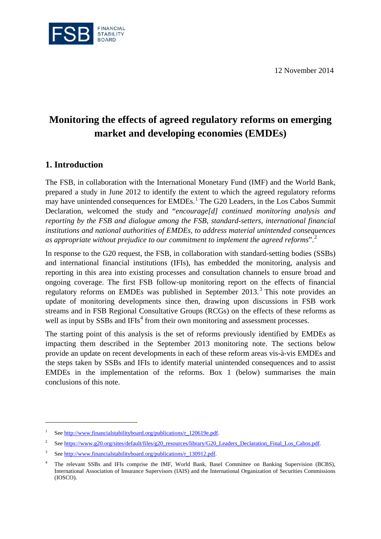12 November 2014



# **Monitoring the effects of agreed regulatory reforms on emerging market and developing economies (EMDEs)**

# **1. Introduction**

<u>.</u>

The FSB, in collaboration with the International Monetary Fund (IMF) and the World Bank, prepared a study in June 2012 to identify the extent to which the agreed regulatory reforms may have unintended consequences for EMDEs.<sup>[1](#page-0-0)</sup> The G20 Leaders, in the Los Cabos Summit Declaration, welcomed the study and "*encourage[d] continued monitoring analysis and reporting by the FSB and dialogue among the FSB, standard-setters, international financial institutions and national authorities of EMDEs, to address material unintended consequences as appropriate without prejudice to our commitment to implement the agreed reforms*".[2](#page-0-1)

In response to the G20 request, the FSB, in collaboration with standard-setting bodies (SSBs) and international financial institutions (IFIs), has embedded the monitoring, analysis and reporting in this area into existing processes and consultation channels to ensure broad and ongoing coverage. The first FSB follow-up monitoring report on the effects of financial regulatory reforms on EMDEs was published in September 201[3](#page-0-2).<sup>3</sup> This note provides an update of monitoring developments since then, drawing upon discussions in FSB work streams and in FSB Regional Consultative Groups (RCGs) on the effects of these reforms as well as input by SSBs and IFIs<sup>[4](#page-0-3)</sup> from their own monitoring and assessment processes.

The starting point of this analysis is the set of reforms previously identified by EMDEs as impacting them described in the September 2013 monitoring note. The sections below provide an update on recent developments in each of these reform areas vis-à-vis EMDEs and the steps taken by SSBs and IFIs to identify material unintended consequences and to assist EMDEs in the implementation of the reforms. Box 1 (below) summarises the main conclusions of this note.

<span id="page-0-0"></span><sup>&</sup>lt;sup>1</sup> See http://www.financialstabilityboard.org/publications/r 120619e.pdf.

<span id="page-0-1"></span><sup>2</sup> Se[e https://www.g20.org/sites/default/files/g20\\_resources/library/G20\\_Leaders\\_Declaration\\_Final\\_Los\\_Cabos.pdf.](https://www.g20.org/sites/default/files/g20_resources/library/G20_Leaders_Declaration_Final_Los_Cabos.pdf)

<span id="page-0-2"></span><sup>3</sup> Se[e http://www.financialstabilityboard.org/publications/r\\_130912.pdf.](http://www.financialstabilityboard.org/publications/r_130912.pdf)

<span id="page-0-3"></span><sup>4</sup> The relevant SSBs and IFIs comprise the IMF, World Bank, Basel Committee on Banking Supervision (BCBS), International Association of Insurance Supervisors (IAIS) and the International Organization of Securities Commissions (IOSCO).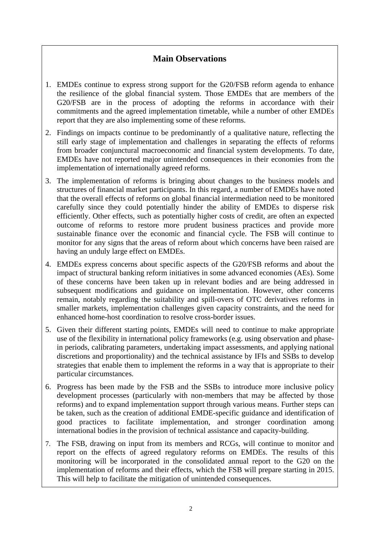# **Main Observations**

- 1. EMDEs continue to express strong support for the G20/FSB reform agenda to enhance the resilience of the global financial system. Those EMDEs that are members of the G20/FSB are in the process of adopting the reforms in accordance with their commitments and the agreed implementation timetable, while a number of other EMDEs report that they are also implementing some of these reforms.
- 2. Findings on impacts continue to be predominantly of a qualitative nature, reflecting the still early stage of implementation and challenges in separating the effects of reforms from broader conjunctural macroeconomic and financial system developments. To date, EMDEs have not reported major unintended consequences in their economies from the implementation of internationally agreed reforms.
- 3. The implementation of reforms is bringing about changes to the business models and structures of financial market participants. In this regard, a number of EMDEs have noted that the overall effects of reforms on global financial intermediation need to be monitored carefully since they could potentially hinder the ability of EMDEs to disperse risk efficiently. Other effects, such as potentially higher costs of credit, are often an expected outcome of reforms to restore more prudent business practices and provide more sustainable finance over the economic and financial cycle. The FSB will continue to monitor for any signs that the areas of reform about which concerns have been raised are having an unduly large effect on EMDEs.
- 4. EMDEs express concerns about specific aspects of the G20/FSB reforms and about the impact of structural banking reform initiatives in some advanced economies (AEs). Some of these concerns have been taken up in relevant bodies and are being addressed in subsequent modifications and guidance on implementation. However, other concerns remain, notably regarding the suitability and spill-overs of OTC derivatives reforms in smaller markets, implementation challenges given capacity constraints, and the need for enhanced home-host coordination to resolve cross-border issues.
- 5. Given their different starting points, EMDEs will need to continue to make appropriate use of the flexibility in international policy frameworks (e.g. using observation and phasein periods, calibrating parameters, undertaking impact assessments, and applying national discretions and proportionality) and the technical assistance by IFIs and SSBs to develop strategies that enable them to implement the reforms in a way that is appropriate to their particular circumstances.
- 6. Progress has been made by the FSB and the SSBs to introduce more inclusive policy development processes (particularly with non-members that may be affected by those reforms) and to expand implementation support through various means. Further steps can be taken, such as the creation of additional EMDE-specific guidance and identification of good practices to facilitate implementation, and stronger coordination among international bodies in the provision of technical assistance and capacity-building.
- 7. The FSB, drawing on input from its members and RCGs, will continue to monitor and report on the effects of agreed regulatory reforms on EMDEs. The results of this monitoring will be incorporated in the consolidated annual report to the G20 on the implementation of reforms and their effects, which the FSB will prepare starting in 2015. This will help to facilitate the mitigation of unintended consequences.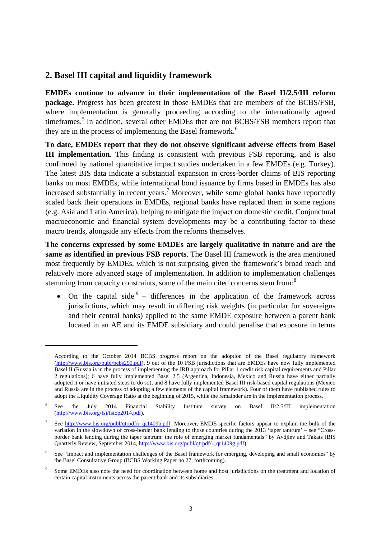## **2. Basel III capital and liquidity framework**

<u>.</u>

**EMDEs continue to advance in their implementation of the Basel II/2.5/III reform package.** Progress has been greatest in those EMDEs that are members of the BCBS/FSB, where implementation is generally proceeding according to the internationally agreed timeframes. [5](#page-2-0) In addition, several other EMDEs that are not BCBS/FSB members report that they are in the process of implementing the Basel framework. [6](#page-2-1)

**To date, EMDEs report that they do not observe significant adverse effects from Basel III implementation**. This finding is consistent with previous FSB reporting, and is also confirmed by national quantitative impact studies undertaken in a few EMDEs (e.g. Turkey). The latest BIS data indicate a substantial expansion in cross-border claims of BIS reporting banks on most EMDEs, while international bond issuance by firms based in EMDEs has also increased substantially in recent years.<sup>[7](#page-2-2)</sup> Moreover, while some global banks have reportedly scaled back their operations in EMDEs, regional banks have replaced them in some regions (e.g. Asia and Latin America), helping to mitigate the impact on domestic credit. Conjunctural macroeconomic and financial system developments may be a contributing factor to these macro trends, alongside any effects from the reforms themselves.

**The concerns expressed by some EMDEs are largely qualitative in nature and are the same as identified in previous FSB reports**. The Basel III framework is the area mentioned most frequently by EMDEs, which is not surprising given the framework's broad reach and relatively more advanced stage of implementation. In addition to implementation challenges stemming from capacity constraints, some of the main cited concerns stem from:<sup>[8](#page-2-3)</sup>

• On the capital side  $9$  – differences in the application of the framework across jurisdictions, which may result in differing risk weights (in particular for sovereigns and their central banks) applied to the same EMDE exposure between a parent bank located in an AE and its EMDE subsidiary and could penalise that exposure in terms

<span id="page-2-0"></span><sup>5</sup> According to the October 2014 BCBS progress report on the adoption of the Basel regulatory framework [\(http://www.bis.org/publ/bcbs290.pdf\)](http://www.bis.org/publ/bcbs290.pdf), 9 out of the 10 FSB jurisdictions that are EMDEs have now fully implemented Basel II (Russia is in the process of implementing the IRB approach for Pillar 1 credit risk capital requirements and Pillar 2 regulations); 6 have fully implemented Basel 2.5 (Argentina, Indonesia, Mexico and Russia have either partially adopted it or have initiated steps to do so); and 8 have fully implemented Basel III risk-based capital regulations (Mexico and Russia are in the process of adopting a few elements of the capital framework). Four of them have published rules to adopt the Liquidity Coverage Ratio at the beginning of 2015, while the remainder are in the implementation process.

<span id="page-2-1"></span><sup>6</sup> See the July 2014 Financial Stability Institute survey on Basel II/2.5/III implementation [\(http://www.bis.org/fsi/fsiop2014.pdf\)](http://www.bis.org/fsi/fsiop2014.pdf).

<span id="page-2-2"></span><sup>7</sup> See [http://www.bis.org/publ/qtrpdf/r\\_qt1409b.pdf.](http://www.bis.org/publ/qtrpdf/r_qt1409b.pdf) Moreover, EMDE-specific factors appear to explain the bulk of the variation in the slowdown of cross-border bank lending to those countries during the 2013 'taper tantrum' – see "Crossborder bank lending during the taper tantrum: the role of emerging market fundamentals" by Avdjiev and Takats (BIS Quarterly Review, September 2014, [http://www.bis.org/publ/qtrpdf/r\\_qt1409g.pdf\)](http://www.bis.org/publ/qtrpdf/r_qt1409g.pdf).

<span id="page-2-3"></span><sup>8</sup> See "Impact and implementation challenges of the Basel framework for emerging, developing and small economies" by the Basel Consultative Group (BCBS Working Paper no 27, forthcoming).

<span id="page-2-4"></span><sup>9</sup> Some EMDEs also note the need for coordination between home and host jurisdictions on the treatment and location of certain capital instruments across the parent bank and its subsidiaries.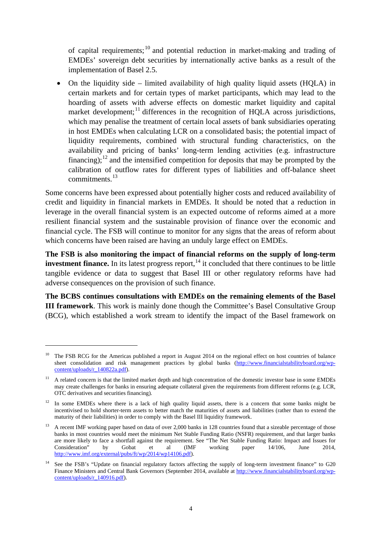of capital requirements; [10](#page-3-0) and potential reduction in market-making and trading of EMDEs' sovereign debt securities by internationally active banks as a result of the implementation of Basel 2.5.

• On the liquidity side – limited availability of high quality liquid assets (HQLA) in certain markets and for certain types of market participants, which may lead to the hoarding of assets with adverse effects on domestic market liquidity and capital market development;<sup>[11](#page-3-1)</sup> differences in the recognition of HQLA across jurisdictions, which may penalise the treatment of certain local assets of bank subsidiaries operating in host EMDEs when calculating LCR on a consolidated basis; the potential impact of liquidity requirements, combined with structural funding characteristics, on the availability and pricing of banks' long-term lending activities (e.g. infrastructure financing);<sup>[12](#page-3-2)</sup> and the intensified competition for deposits that may be prompted by the calibration of outflow rates for different types of liabilities and off-balance sheet commitments.<sup>[13](#page-3-3)</sup>

Some concerns have been expressed about potentially higher costs and reduced availability of credit and liquidity in financial markets in EMDEs. It should be noted that a reduction in leverage in the overall financial system is an expected outcome of reforms aimed at a more resilient financial system and the sustainable provision of finance over the economic and financial cycle. The FSB will continue to monitor for any signs that the areas of reform about which concerns have been raised are having an unduly large effect on EMDEs.

**The FSB is also monitoring the impact of financial reforms on the supply of long-term investment finance.** In its latest progress report,  $\frac{14}{11}$  $\frac{14}{11}$  $\frac{14}{11}$  it concluded that there continues to be little tangible evidence or data to suggest that Basel III or other regulatory reforms have had adverse consequences on the provision of such finance.

**The BCBS continues consultations with EMDEs on the remaining elements of the Basel III framework**. This work is mainly done though the Committee's Basel Consultative Group (BCG), which established a work stream to identify the impact of the Basel framework on

<u>.</u>

<span id="page-3-0"></span><sup>&</sup>lt;sup>10</sup> The FSB RCG for the Americas published a report in August 2014 on the regional effect on host countries of balance sheet consolidation and risk management practices by global banks [\(http://www.financialstabilityboard.org/wp](http://www.financialstabilityboard.org/wp-content/uploads/r_140822a.pdf)content/uploads/r 140822a.pdf).

<span id="page-3-1"></span><sup>&</sup>lt;sup>11</sup> A related concern is that the limited market depth and high concentration of the domestic investor base in some EMDEs may create challenges for banks in ensuring adequate collateral given the requirements from different reforms (e.g. LCR, OTC derivatives and securities financing).

<span id="page-3-2"></span><sup>&</sup>lt;sup>12</sup> In some EMDEs where there is a lack of high quality liquid assets, there is a concern that some banks might be incentivised to hold shorter-term assets to better match the maturities of assets and liabilities (rather than to extend the maturity of their liabilities) in order to comply with the Basel III liquidity framework.

<span id="page-3-3"></span><sup>13</sup> A recent IMF working paper based on data of over 2,000 banks in 128 countries found that a sizeable percentage of those banks in most countries would meet the minimum Net Stable Funding Ratio (NSFR) requirement, and that larger banks are more likely to face a shortfall against the requirement. See "The Net Stable Funding Ratio: Impact and Issues for Consideration" by Gobat et al (IMF working paper 14/106, June 2014, [http://www.imf.org/external/pubs/ft/wp/2014/wp14106.pdf\)](http://www.imf.org/external/pubs/ft/wp/2014/wp14106.pdf).

<span id="page-3-4"></span><sup>&</sup>lt;sup>14</sup> See the FSB's "Update on financial regulatory factors affecting the supply of long-term investment finance" to G20 Finance Ministers and Central Bank Governors (September 2014, available a[t http://www.financialstabilityboard.org/wp](http://www.financialstabilityboard.org/wp-content/uploads/r_140916.pdf)[content/uploads/r\\_140916.pdf\)](http://www.financialstabilityboard.org/wp-content/uploads/r_140916.pdf).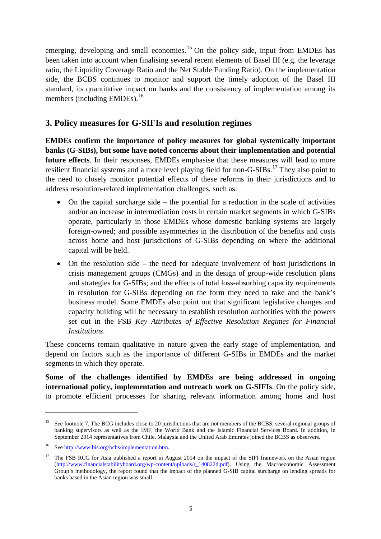emerging, developing and small economies.<sup>[15](#page-4-0)</sup> On the policy side, input from EMDEs has been taken into account when finalising several recent elements of Basel III (e.g. the leverage ratio, the Liquidity Coverage Ratio and the Net Stable Funding Ratio). On the implementation side, the BCBS continues to monitor and support the timely adoption of the Basel III standard, its quantitative impact on banks and the consistency of implementation among its members (including EMDEs).<sup>[16](#page-4-1)</sup>

#### **3. Policy measures for G-SIFIs and resolution regimes**

**EMDEs confirm the importance of policy measures for global systemically important banks (G-SIBs), but some have noted concerns about their implementation and potential future effects**. In their responses, EMDEs emphasise that these measures will lead to more resilient financial systems and a more level playing field for non-G-SIBs.<sup>17</sup> They also point to the need to closely monitor potential effects of these reforms in their jurisdictions and to address resolution-related implementation challenges, such as:

- On the capital surcharge side the potential for a reduction in the scale of activities and/or an increase in intermediation costs in certain market segments in which G-SIBs operate, particularly in those EMDEs whose domestic banking systems are largely foreign-owned; and possible asymmetries in the distribution of the benefits and costs across home and host jurisdictions of G-SIBs depending on where the additional capital will be held.
- On the resolution side the need for adequate involvement of host jurisdictions in crisis management groups (CMGs) and in the design of group-wide resolution plans and strategies for G-SIBs; and the effects of total loss-absorbing capacity requirements in resolution for G-SIBs depending on the form they need to take and the bank's business model. Some EMDEs also point out that significant legislative changes and capacity building will be necessary to establish resolution authorities with the powers set out in the FSB *Key Attributes of Effective Resolution Regimes for Financial Institutions*.

These concerns remain qualitative in nature given the early stage of implementation, and depend on factors such as the importance of different G-SIBs in EMDEs and the market segments in which they operate.

**Some of the challenges identified by EMDEs are being addressed in ongoing international policy, implementation and outreach work on G-SIFIs**. On the policy side, to promote efficient processes for sharing relevant information among home and host

-

<span id="page-4-0"></span><sup>&</sup>lt;sup>15</sup> See footnote 7. The BCG includes close to 20 jurisdictions that are not members of the BCBS, several regional groups of banking supervisors as well as the IMF, the World Bank and the Islamic Financial Services Board. In addition, in September 2014 representatives from Chile, Malaysia and the United Arab Emirates joined the BCBS as observers.

<span id="page-4-1"></span><sup>16</sup> Se[e http://www.bis.org/bcbs/implementation.htm.](http://www.bis.org/bcbs/implementation.htm) 

<span id="page-4-2"></span>The FSB RCG for Asia published a report in August 2014 on the impact of the SIFI framework on the Asian region [\(http://www.financialstabilityboard.org/wp-content/uploads/r\\_140822d.pdf\)](http://www.financialstabilityboard.org/wp-content/uploads/r_140822d.pdf). Using the Macroeconomic Assessment Group's methodology, the report found that the impact of the planned G-SIB capital surcharge on lending spreads for banks based in the Asian region was small.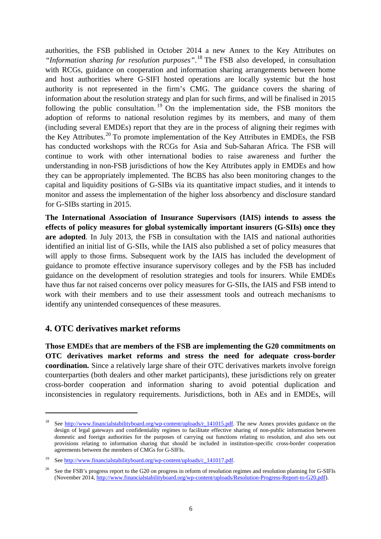authorities, the FSB published in October 2014 a new Annex to the Key Attributes on *"Information sharing for resolution purposes"*. [18](#page-5-0) The FSB also developed, in consultation with RCGs, guidance on cooperation and information sharing arrangements between home and host authorities where G-SIFI hosted operations are locally systemic but the host authority is not represented in the firm's CMG. The guidance covers the sharing of information about the resolution strategy and plan for such firms, and will be finalised in 2015 following the public consultation. [19](#page-5-1) On the implementation side, the FSB monitors the adoption of reforms to national resolution regimes by its members, and many of them (including several EMDEs) report that they are in the process of aligning their regimes with the Key Attributes.<sup>[20](#page-5-2)</sup> To promote implementation of the Key Attributes in EMDEs, the FSB has conducted workshops with the RCGs for Asia and Sub-Saharan Africa. The FSB will continue to work with other international bodies to raise awareness and further the understanding in non-FSB jurisdictions of how the Key Attributes apply in EMDEs and how they can be appropriately implemented. The BCBS has also been monitoring changes to the capital and liquidity positions of G-SIBs via its quantitative impact studies, and it intends to monitor and assess the implementation of the higher loss absorbency and disclosure standard for G-SIBs starting in 2015.

**The International Association of Insurance Supervisors (IAIS) intends to assess the effects of policy measures for global systemically important insurers (G-SIIs) once they are adopted**. In July 2013, the FSB in consultation with the IAIS and national authorities identified an initial list of G-SIIs, while the IAIS also published a set of policy measures that will apply to those firms. Subsequent work by the IAIS has included the development of guidance to promote effective insurance supervisory colleges and by the FSB has included guidance on the development of resolution strategies and tools for insurers. While EMDEs have thus far not raised concerns over policy measures for G-SIIs, the IAIS and FSB intend to work with their members and to use their assessment tools and outreach mechanisms to identify any unintended consequences of these measures.

#### **4. OTC derivatives market reforms**

-

**Those EMDEs that are members of the FSB are implementing the G20 commitments on OTC derivatives market reforms and stress the need for adequate cross-border coordination.** Since a relatively large share of their OTC derivatives markets involve foreign counterparties (both dealers and other market participants), these jurisdictions rely on greater cross-border cooperation and information sharing to avoid potential duplication and inconsistencies in regulatory requirements. Jurisdictions, both in AEs and in EMDEs, will

<span id="page-5-0"></span><sup>&</sup>lt;sup>18</sup> See [http://www.financialstabilityboard.org/wp-content/uploads/r\\_141015.pdf.](http://www.financialstabilityboard.org/wp-content/uploads/r_141015.pdf) The new Annex provides guidance on the design of legal gateways and confidentiality regimes to facilitate effective sharing of non-public information between domestic and foreign authorities for the purposes of carrying out functions relating to resolution, and also sets out provisions relating to information sharing that should be included in institution-specific cross-border cooperation agreements between the members of CMGs for G-SIFIs.

<span id="page-5-1"></span><sup>19</sup> Se[e http://www.financialstabilityboard.org/wp-content/uploads/c\\_141017.pdf.](http://www.financialstabilityboard.org/wp-content/uploads/c_141017.pdf) 

<span id="page-5-2"></span><sup>&</sup>lt;sup>20</sup> See the FSB's progress report to the G20 on progress in reform of resolution regimes and resolution planning for G-SIFIs (November 2014, [http://www.financialstabilityboard.org/wp-content/uploads/Resolution-Progress-Report-to-G20.pdf\)](http://www.financialstabilityboard.org/wp-content/uploads/Resolution-Progress-Report-to-G20.pdf).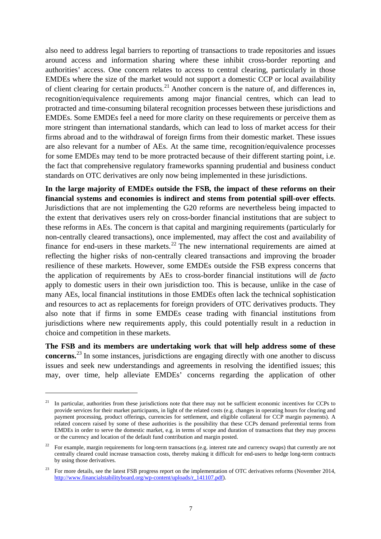also need to address legal barriers to reporting of transactions to trade repositories and issues around access and information sharing where these inhibit cross-border reporting and authorities' access. One concern relates to access to central clearing, particularly in those EMDEs where the size of the market would not support a domestic CCP or local availability of client clearing for certain products.<sup>21</sup> Another concern is the nature of, and differences in, recognition/equivalence requirements among major financial centres, which can lead to protracted and time-consuming bilateral recognition processes between these jurisdictions and EMDEs. Some EMDEs feel a need for more clarity on these requirements or perceive them as more stringent than international standards, which can lead to loss of market access for their firms abroad and to the withdrawal of foreign firms from their domestic market. These issues are also relevant for a number of AEs. At the same time, recognition/equivalence processes for some EMDEs may tend to be more protracted because of their different starting point, i.e. the fact that comprehensive regulatory frameworks spanning prudential and business conduct standards on OTC derivatives are only now being implemented in these jurisdictions.

**In the large majority of EMDEs outside the FSB, the impact of these reforms on their financial systems and economies is indirect and stems from potential spill-over effects**. Jurisdictions that are not implementing the G20 reforms are nevertheless being impacted to the extent that derivatives users rely on cross-border financial institutions that are subject to these reforms in AEs. The concern is that capital and margining requirements (particularly for non-centrally cleared transactions), once implemented, may affect the cost and availability of finance for end-users in these markets.<sup>[22](#page-6-1)</sup> The new international requirements are aimed at reflecting the higher risks of non-centrally cleared transactions and improving the broader resilience of these markets. However, some EMDEs outside the FSB express concerns that the application of requirements by AEs to cross-border financial institutions will *de facto* apply to domestic users in their own jurisdiction too. This is because, unlike in the case of many AEs, local financial institutions in those EMDEs often lack the technical sophistication and resources to act as replacements for foreign providers of OTC derivatives products. They also note that if firms in some EMDEs cease trading with financial institutions from jurisdictions where new requirements apply, this could potentially result in a reduction in choice and competition in these markets.

**The FSB and its members are undertaking work that will help address some of these concerns.** [23](#page-6-2) In some instances, jurisdictions are engaging directly with one another to discuss issues and seek new understandings and agreements in resolving the identified issues; this may, over time, help alleviate EMDEs' concerns regarding the application of other

-

<span id="page-6-0"></span> $21$  In particular, authorities from these jurisdictions note that there may not be sufficient economic incentives for CCPs to provide services for their market participants, in light of the related costs (e.g. changes in operating hours for clearing and payment processing, product offerings, currencies for settlement, and eligible collateral for CCP margin payments). A related concern raised by some of these authorities is the possibility that these CCPs demand preferential terms from EMDEs in order to serve the domestic market, e.g. in terms of scope and duration of transactions that they may process or the currency and location of the default fund contribution and margin posted.

<span id="page-6-1"></span><sup>&</sup>lt;sup>22</sup> For example, margin requirements for long-term transactions (e.g. interest rate and currency swaps) that currently are not centrally cleared could increase transaction costs, thereby making it difficult for end-users to hedge long-term contracts by using those derivatives.

<span id="page-6-2"></span><sup>23</sup> For more details, see the latest FSB progress report on the implementation of OTC derivatives reforms (November 2014, [http://www.financialstabilityboard.org/wp-content/uploads/r\\_141107.pdf\)](http://www.financialstabilityboard.org/wp-content/uploads/r_141107.pdf).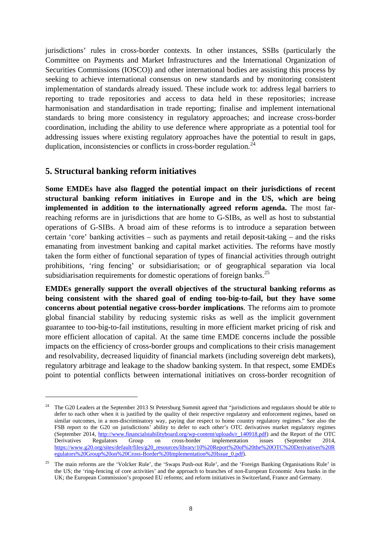jurisdictions' rules in cross-border contexts. In other instances, SSBs (particularly the Committee on Payments and Market Infrastructures and the International Organization of Securities Commissions (IOSCO)) and other international bodies are assisting this process by seeking to achieve international consensus on new standards and by monitoring consistent implementation of standards already issued. These include work to: address legal barriers to reporting to trade repositories and access to data held in these repositories; increase harmonisation and standardisation in trade reporting; finalise and implement international standards to bring more consistency in regulatory approaches; and increase cross-border coordination, including the ability to use deference where appropriate as a potential tool for addressing issues where existing regulatory approaches have the potential to result in gaps, duplication, inconsistencies or conflicts in cross-border regulation.<sup>[24](#page-7-0)</sup>

## **5. Structural banking reform initiatives**

-

**Some EMDEs have also flagged the potential impact on their jurisdictions of recent structural banking reform initiatives in Europe and in the US, which are being implemented in addition to the internationally agreed reform agenda.** The most farreaching reforms are in jurisdictions that are home to G-SIBs, as well as host to substantial operations of G-SIBs. A broad aim of these reforms is to introduce a separation between certain 'core' banking activities – such as payments and retail deposit-taking – and the risks emanating from investment banking and capital market activities. The reforms have mostly taken the form either of functional separation of types of financial activities through outright prohibitions, 'ring fencing' or subsidiarisation; or of geographical separation via local subsidiarisation requirements for domestic operations of foreign banks.<sup>[25](#page-7-1)</sup>

**EMDEs generally support the overall objectives of the structural banking reforms as being consistent with the shared goal of ending too-big-to-fail, but they have some concerns about potential negative cross-border implications**. The reforms aim to promote global financial stability by reducing systemic risks as well as the implicit government guarantee to too-big-to-fail institutions, resulting in more efficient market pricing of risk and more efficient allocation of capital. At the same time EMDE concerns include the possible impacts on the efficiency of cross-border groups and complications to their crisis management and resolvability, decreased liquidity of financial markets (including sovereign debt markets), regulatory arbitrage and leakage to the shadow banking system. In that respect, some EMDEs point to potential conflicts between international initiatives on cross-border recognition of

<span id="page-7-0"></span><sup>24</sup> The G20 Leaders at the September 2013 St Petersburg Summit agreed that "jurisdictions and regulators should be able to defer to each other when it is justified by the quality of their respective regulatory and enforcement regimes, based on similar outcomes, in a non-discriminatory way, paying due respect to home country regulatory regimes." See also the FSB report to the G20 on jurisdictions' ability to defer to each other's OTC derivatives market regulatory regimes (September 2014, [http://www.financialstabilityboard.org/wp-content/uploads/r\\_140918.pdf\)](http://www.financialstabilityboard.org/wp-content/uploads/r_140918.pdf) and the Report of the OTC<br>Derivatives Regulators Group on cross-border implementation issues (September 2014, on cross-border implementation issues [https://www.g20.org/sites/default/files/g20\\_resources/library/10%20Report%20of%20the%20OTC%20Derivatives%20R](https://www.g20.org/sites/default/files/g20_resources/library/10%20Report%20of%20the%20OTC%20Derivatives%20Regulators%20Group%20on%20Cross-Border%20Implementation%20Issue_0.pdf) [egulators%20Group%20on%20Cross-Border%20Implementation%20Issue\\_0.pdf\)](https://www.g20.org/sites/default/files/g20_resources/library/10%20Report%20of%20the%20OTC%20Derivatives%20Regulators%20Group%20on%20Cross-Border%20Implementation%20Issue_0.pdf).

<span id="page-7-1"></span><sup>&</sup>lt;sup>25</sup> The main reforms are the 'Volcker Rule', the 'Swaps Push-out Rule', and the 'Foreign Banking Organisations Rule' in the US; the 'ring-fencing of core activities' and the approach to branches of non-European Economic Area banks in the UK; the European Commission's proposed EU reforms; and reform initiatives in Switzerland, France and Germany.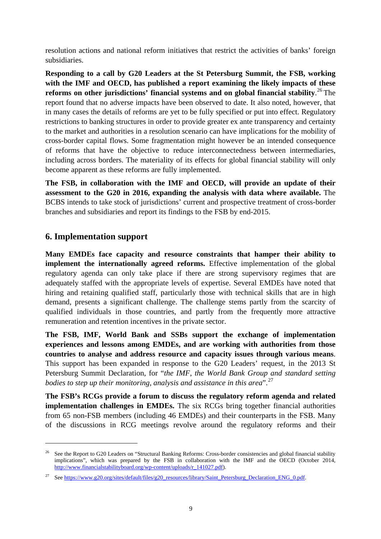resolution actions and national reform initiatives that restrict the activities of banks' foreign subsidiaries.

**Responding to a call by G20 Leaders at the St Petersburg Summit, the FSB, working with the IMF and OECD, has published a report examining the likely impacts of these reforms on other jurisdictions' financial systems and on global financial stability**. [26](#page-8-0) The report found that no adverse impacts have been observed to date. It also noted, however, that in many cases the details of reforms are yet to be fully specified or put into effect. Regulatory restrictions to banking structures in order to provide greater ex ante transparency and certainty to the market and authorities in a resolution scenario can have implications for the mobility of cross-border capital flows. Some fragmentation might however be an intended consequence of reforms that have the objective to reduce interconnectedness between intermediaries, including across borders. The materiality of its effects for global financial stability will only become apparent as these reforms are fully implemented.

**The FSB, in collaboration with the IMF and OECD, will provide an update of their assessment to the G20 in 2016, expanding the analysis with data where available.** The BCBS intends to take stock of jurisdictions' current and prospective treatment of cross-border branches and subsidiaries and report its findings to the FSB by end-2015.

## **6. Implementation support**

<u>.</u>

**Many EMDEs face capacity and resource constraints that hamper their ability to implement the internationally agreed reforms.** Effective implementation of the global regulatory agenda can only take place if there are strong supervisory regimes that are adequately staffed with the appropriate levels of expertise. Several EMDEs have noted that hiring and retaining qualified staff, particularly those with technical skills that are in high demand, presents a significant challenge. The challenge stems partly from the scarcity of qualified individuals in those countries, and partly from the frequently more attractive remuneration and retention incentives in the private sector.

**The FSB, IMF, World Bank and SSBs support the exchange of implementation experiences and lessons among EMDEs, and are working with authorities from those countries to analyse and address resource and capacity issues through various means**. This support has been expanded in response to the G20 Leaders' request, in the 2013 St Petersburg Summit Declaration, for "*the IMF, the World Bank Group and standard setting bodies to step up their monitoring, analysis and assistance in this area*".<sup>[27](#page-8-1)</sup>

**The FSB's RCGs provide a forum to discuss the regulatory reform agenda and related implementation challenges in EMDEs.** The six RCGs bring together financial authorities from 65 non-FSB members (including 46 EMDEs) and their counterparts in the FSB. Many of the discussions in RCG meetings revolve around the regulatory reforms and their

<span id="page-8-0"></span><sup>&</sup>lt;sup>26</sup> See the Report to G20 Leaders on "Structural Banking Reforms: Cross-border consistencies and global financial stability implications", which was prepared by the FSB in collaboration with the IMF and the OECD (October 2014, [http://www.financialstabilityboard.org/wp-content/uploads/r\\_141027.pdf\)](http://www.financialstabilityboard.org/wp-content/uploads/r_141027.pdf).

<span id="page-8-1"></span><sup>&</sup>lt;sup>27</sup> See https://www.g20.org/sites/default/files/g20\_resources/library/Saint\_Petersburg\_Declaration\_ENG\_0.pdf.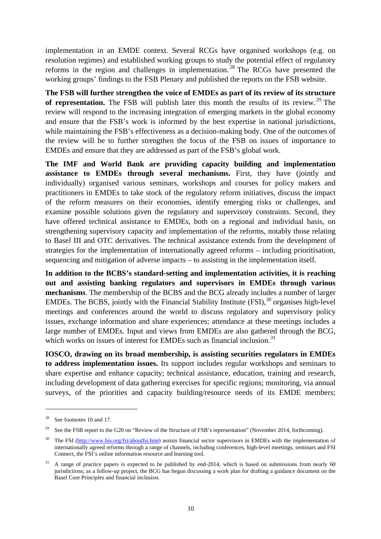implementation in an EMDE context. Several RCGs have organised workshops (e.g. on resolution regimes) and established working groups to study the potential effect of regulatory reforms in the region and challenges in implementation.<sup>[28](#page-9-0)</sup> The RCGs have presented the working groups' findings to the FSB Plenary and published the reports on the FSB website.

**The FSB will further strengthen the voice of EMDEs as part of its review of its structure**  of representation. The FSB will publish later this month the results of its review.<sup>[29](#page-9-1)</sup> The review will respond to the increasing integration of emerging markets in the global economy and ensure that the FSB's work is informed by the best expertise in national jurisdictions, while maintaining the FSB's effectiveness as a decision-making body. One of the outcomes of the review will be to further strengthen the focus of the FSB on issues of importance to EMDEs and ensure that they are addressed as part of the FSB's global work.

**The IMF and World Bank are providing capacity building and implementation assistance to EMDEs through several mechanisms.** First, they have (jointly and individually) organised various seminars, workshops and courses for policy makers and practitioners in EMDEs to take stock of the regulatory reform initiatives, discuss the impact of the reform measures on their economies, identify emerging risks or challenges, and examine possible solutions given the regulatory and supervisory constraints. Second, they have offered technical assistance to EMDEs, both on a regional and individual basis, on strengthening supervisory capacity and implementation of the reforms, notably those relating to Basel III and OTC derivatives. The technical assistance extends from the development of strategies for the implementation of internationally agreed reforms – including prioritisation, sequencing and mitigation of adverse impacts – to assisting in the implementation itself.

**In addition to the BCBS's standard-setting and implementation activities, it is reaching out and assisting banking regulators and supervisors in EMDEs through various mechanisms**. The membership of the BCBS and the BCG already includes a number of larger EMDEs. The BCBS, jointly with the Financial Stability Institute  $(FSI)$ ,  $^{30}$  $^{30}$  $^{30}$  organises high-level meetings and conferences around the world to discuss regulatory and supervisory policy issues, exchange information and share experiences; attendance at these meetings includes a large number of EMDEs. Input and views from EMDEs are also gathered through the BCG, which works on issues of interest for EMDEs such as financial inclusion.<sup>[31](#page-9-3)</sup>

**IOSCO, drawing on its broad membership, is assisting securities regulators in EMDEs to address implementation issues.** Its support includes regular workshops and seminars to share expertise and enhance capacity; technical assistance, education, training and research, including development of data gathering exercises for specific regions; monitoring, via annual surveys, of the priorities and capacity building/resource needs of its EMDE members;

-

<span id="page-9-0"></span><sup>28</sup> See footnotes 10 and 17.

<span id="page-9-1"></span><sup>&</sup>lt;sup>29</sup> See the FSB report to the G20 on "Review of the Structure of FSB's representation" (November 2014, forthcoming).

<span id="page-9-2"></span><sup>&</sup>lt;sup>30</sup> The FSI [\(http://www.bis.org/fsi/aboutfsi.htm\)](http://www.bis.org/fsi/aboutfsi.htm) assists financial sector supervisors in EMDEs with the implementation of internationally agreed reforms through a range of channels, including conferences, high-level meetings, seminars and FSI Connect, the FSI's online information resource and learning tool.

<span id="page-9-3"></span><sup>&</sup>lt;sup>31</sup> A range of practice papers is expected to be published by end-2014, which is based on submissions from nearly 60 jurisdictions; as a follow-up project, the BCG has begun discussing a work plan for drafting a guidance document on the Basel Core Principles and financial inclusion.